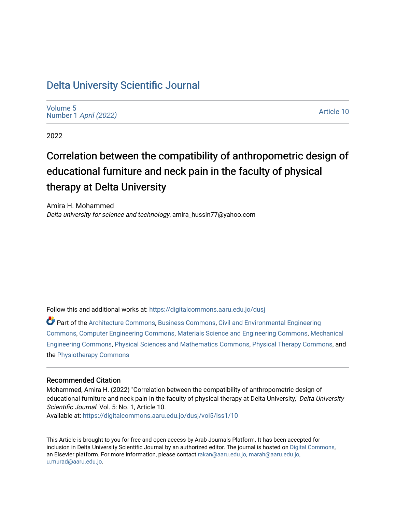# [Delta University Scientific Journal](https://digitalcommons.aaru.edu.jo/dusj)

[Volume 5](https://digitalcommons.aaru.edu.jo/dusj/vol5) Number 1 [April \(2022\)](https://digitalcommons.aaru.edu.jo/dusj/vol5/iss1)

[Article 10](https://digitalcommons.aaru.edu.jo/dusj/vol5/iss1/10) 

2022

# Correlation between the compatibility of anthropometric design of educational furniture and neck pain in the faculty of physical therapy at Delta University

Amira H. Mohammed Delta university for science and technology, amira\_hussin77@yahoo.com

Follow this and additional works at: [https://digitalcommons.aaru.edu.jo/dusj](https://digitalcommons.aaru.edu.jo/dusj?utm_source=digitalcommons.aaru.edu.jo%2Fdusj%2Fvol5%2Fiss1%2F10&utm_medium=PDF&utm_campaign=PDFCoverPages)

Part of the [Architecture Commons,](http://network.bepress.com/hgg/discipline/773?utm_source=digitalcommons.aaru.edu.jo%2Fdusj%2Fvol5%2Fiss1%2F10&utm_medium=PDF&utm_campaign=PDFCoverPages) [Business Commons](http://network.bepress.com/hgg/discipline/622?utm_source=digitalcommons.aaru.edu.jo%2Fdusj%2Fvol5%2Fiss1%2F10&utm_medium=PDF&utm_campaign=PDFCoverPages), [Civil and Environmental Engineering](http://network.bepress.com/hgg/discipline/251?utm_source=digitalcommons.aaru.edu.jo%2Fdusj%2Fvol5%2Fiss1%2F10&utm_medium=PDF&utm_campaign=PDFCoverPages)  [Commons](http://network.bepress.com/hgg/discipline/251?utm_source=digitalcommons.aaru.edu.jo%2Fdusj%2Fvol5%2Fiss1%2F10&utm_medium=PDF&utm_campaign=PDFCoverPages), [Computer Engineering Commons,](http://network.bepress.com/hgg/discipline/258?utm_source=digitalcommons.aaru.edu.jo%2Fdusj%2Fvol5%2Fiss1%2F10&utm_medium=PDF&utm_campaign=PDFCoverPages) [Materials Science and Engineering Commons,](http://network.bepress.com/hgg/discipline/285?utm_source=digitalcommons.aaru.edu.jo%2Fdusj%2Fvol5%2Fiss1%2F10&utm_medium=PDF&utm_campaign=PDFCoverPages) [Mechanical](http://network.bepress.com/hgg/discipline/293?utm_source=digitalcommons.aaru.edu.jo%2Fdusj%2Fvol5%2Fiss1%2F10&utm_medium=PDF&utm_campaign=PDFCoverPages)  [Engineering Commons,](http://network.bepress.com/hgg/discipline/293?utm_source=digitalcommons.aaru.edu.jo%2Fdusj%2Fvol5%2Fiss1%2F10&utm_medium=PDF&utm_campaign=PDFCoverPages) [Physical Sciences and Mathematics Commons,](http://network.bepress.com/hgg/discipline/114?utm_source=digitalcommons.aaru.edu.jo%2Fdusj%2Fvol5%2Fiss1%2F10&utm_medium=PDF&utm_campaign=PDFCoverPages) [Physical Therapy Commons](http://network.bepress.com/hgg/discipline/754?utm_source=digitalcommons.aaru.edu.jo%2Fdusj%2Fvol5%2Fiss1%2F10&utm_medium=PDF&utm_campaign=PDFCoverPages), and the [Physiotherapy Commons](http://network.bepress.com/hgg/discipline/1086?utm_source=digitalcommons.aaru.edu.jo%2Fdusj%2Fvol5%2Fiss1%2F10&utm_medium=PDF&utm_campaign=PDFCoverPages) 

# Recommended Citation

Mohammed, Amira H. (2022) "Correlation between the compatibility of anthropometric design of educational furniture and neck pain in the faculty of physical therapy at Delta University," Delta University Scientific Journal: Vol. 5: No. 1, Article 10. Available at: [https://digitalcommons.aaru.edu.jo/dusj/vol5/iss1/10](https://digitalcommons.aaru.edu.jo/dusj/vol5/iss1/10?utm_source=digitalcommons.aaru.edu.jo%2Fdusj%2Fvol5%2Fiss1%2F10&utm_medium=PDF&utm_campaign=PDFCoverPages)

This Article is brought to you for free and open access by Arab Journals Platform. It has been accepted for inclusion in Delta University Scientific Journal by an authorized editor. The journal is hosted on [Digital Commons,](https://www.elsevier.com/solutions/digital-commons) an Elsevier platform. For more information, please contact [rakan@aaru.edu.jo, marah@aaru.edu.jo,](mailto:rakan@aaru.edu.jo,%20marah@aaru.edu.jo,%20u.murad@aaru.edu.jo)  [u.murad@aaru.edu.jo.](mailto:rakan@aaru.edu.jo,%20marah@aaru.edu.jo,%20u.murad@aaru.edu.jo)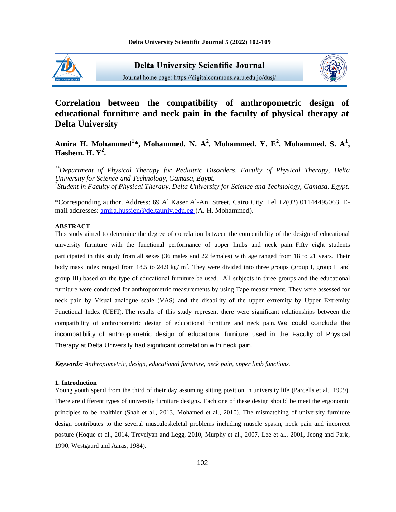

**Delta University Scientific Journal** Journal home page: https://digitalcommons.aaru.edu.jo/dusj/



# **Correlation between the compatibility of anthropometric design of educational furniture and neck pain in the faculty of physical therapy at Delta University**

# Amira H. Mohammed<sup>1</sup>\*, Mohammed. N. A<sup>2</sup>, Mohammed. Y. E<sup>2</sup>, Mohammed. S. A<sup>1</sup>, **Hashem. H. Y<sup>2</sup> .**

*1\*Department of Physical Therapy for Pediatric Disorders, Faculty of Physical Therapy, Delta University for Science and Technology, Gamasa, Egypt. 2 Student in Faculty of Physical Therapy, Delta University for Science and Technology, Gamasa, Egypt.*

\*Corresponding author. Address: 69 Al Kaser Al-Ani Street, Cairo City. Tel +2(02) 01144495063. Email addresses: amira.hussien@deltauniv.edu.eg (A. H. Mohammed).

## **ABSTRACT**

This study aimed to determine the degree of correlation between the compatibility of the design of educational university furniture with the functional performance of upper limbs and neck pain. Fifty eight students participated in this study from all sexes (36 males and 22 females) with age ranged from 18 to 21 years. Their body mass index ranged from 18.5 to 24.9 kg/  $m^2$ . They were divided into three groups (group I, group II and group III) based on the type of educational furniture be used. All subjects in three groups and the educational furniture were conducted for anthropometric measurements by using Tape measurement. They were assessed for neck pain by Visual analogue scale (VAS) and the disability of the upper extremity by Upper Extremity Functional Index (UEFI). The results of this study represent there were significant relationships between the compatibility of anthropometric design of educational furniture and neck pain. We could conclude the incompatibility of anthropometric design of educational furniture used in the Faculty of Physical Therapy at Delta University had significant correlation with neck pain.

*Keywords: Anthropometric, design, educational furniture, neck pain, upper limb functions.*

#### **1. Introduction**

Young youth spend from the third of their day assuming sitting position in university life (Parcells et al., 1999). There are different types of university furniture designs. Each one of these design should be meet the ergonomic principles to be healthier (Shah et al., 2013, Mohamed et al., 2010). The mismatching of university furniture design contributes to the several musculoskeletal problems including muscle spasm, neck pain and incorrect posture (Hoque et al., 2014, Trevelyan and Legg, 2010, Murphy et al., 2007, Lee et al., 2001, Jeong and Park, 1990, Westgaard and Aaras, 1984).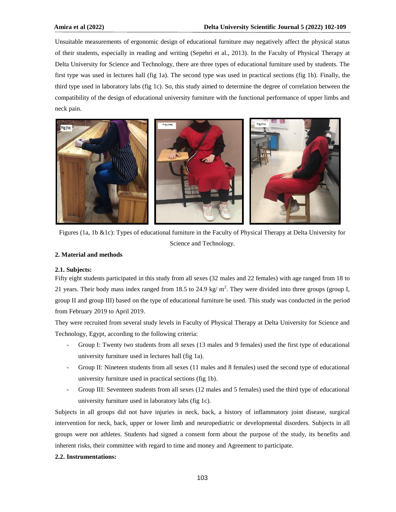Unsuitable measurements of ergonomic design of educational furniture may negatively affect the physical status of their students, especially in reading and writing (Sepehri et al., 2013). In the Faculty of Physical Therapy at Delta University for Science and Technology, there are three types of educational furniture used by students. The first type was used in lectures hall (fig 1a). The second type was used in practical sections (fig 1b). Finally, the third type used in laboratory labs (fig 1c). So, this study aimed to determine the degree of correlation between the compatibility of the design of educational university furniture with the functional performance of upper limbs and neck pain.



Figures (1a, 1b &1c): Types of educational furniture in the Faculty of Physical Therapy at Delta University for Science and Technology.

## **2. Material and methods**

#### **2.1. Subjects:**

Fifty eight students participated in this study from all sexes (32 males and 22 females) with age ranged from 18 to 21 years. Their body mass index ranged from 18.5 to 24.9 kg/  $m^2$ . They were divided into three groups (group I, group II and group III) based on the type of educational furniture be used. This study was conducted in the period from February 2019 to April 2019.

They were recruited from several study levels in Faculty of Physical Therapy at Delta University for Science and Technology, Egypt, according to the following criteria:

- Group I: Twenty two students from all sexes (13 males and 9 females) used the first type of educational university furniture used in lectures hall (fig 1a).
- Group II: Nineteen students from all sexes (11 males and 8 females) used the second type of educational university furniture used in practical sections (fig 1b).
- Group III: Seventeen students from all sexes (12 males and 5 females) used the third type of educational university furniture used in laboratory labs (fig 1c).

Subjects in all groups did not have injuries in neck, back, a history of inflammatory joint disease, surgical intervention for neck, back, upper or lower limb and neuropediatric or developmental disorders. Subjects in all groups were not athletes. Students had signed a consent form about the purpose of the study, its benefits and inherent risks, their committee with regard to time and money and Agreement to participate.

#### **2.2. Instrumentations:**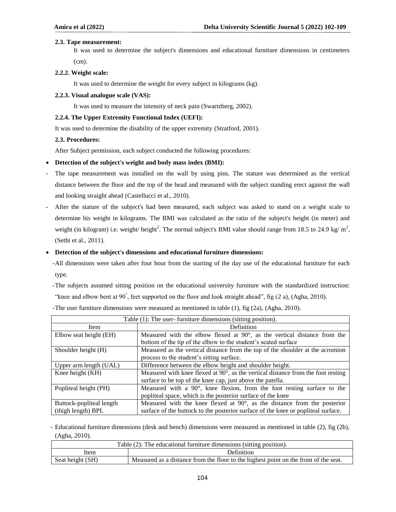#### **2.3. Tape measurement:**

It was used to determine the subject's dimensions and educational furniture dimensions in centimeters (cm).

**2.2.2. Weight scale:** 

It was used to determine the weight for every subject in kilograms (kg).

**2.2.3. Visual analogue scale (VAS):** 

It was used to measure the intensity of neck pain (Swartzberg, 2002).

## **2.2.4. The Upper Extremity Functional Index (UEFI):**

It was used to determine the disability of the upper extremity (Stratford, 2001).

#### **2.3. Procedures:**

After Subject permission, each subject conducted the following procedures:

#### **Detection of the subject's weight and body mass index (BMI):**

- The tape measurement was installed on the wall by using pins. The stature was determined as the vertical distance between the floor and the top of the head and measured with the subject standing erect against the wall and looking straight ahead (Castellucci et al., 2010).
- After the stature of the subject's had been measured, each subject was asked to stand on a weight scale to determine his weight in kilograms. The BMI was calculated as the ratio of the subject's height (in meter) and weight (in kilogram) i.e. weight/ height<sup>2</sup>. The normal subject's BMI value should range from 18.5 to 24.9 kg/  $m^2$ , (Sethi et al., 2011).

# **Detection of the subject's dimensions and educational furniture dimensions:**

- -All dimensions were taken after four hour from the starting of the day use of the educational furniture for each type.
- -The subjects assumed sitting position on the educational university furniture with the standardized instruction: "knee and elbow bent at 90° , feet supported on the floor and look straight ahead", fig (2 a), (Agha, 2010).

| Table (1): The user-furniture dimensions (sitting position). |                                                                                            |  |
|--------------------------------------------------------------|--------------------------------------------------------------------------------------------|--|
| Item                                                         | Definition                                                                                 |  |
| Elbow seat height (EH)                                       | Measured with the elbow flexed at $90^\circ$ , as the vertical distance from the           |  |
|                                                              | bottom of the tip of the elbow to the student's seated surface                             |  |
| Shoulder height (H)                                          | Measured as the vertical distance from the top of the shoulder at the acromion             |  |
|                                                              | process to the student's sitting surface.                                                  |  |
| Upper arm length (UAL)                                       | Difference between the elbow height and shoulder height.                                   |  |
| Knee height (KH)                                             | Measured with knee flexed at $90^{\circ}$ , as the vertical distance from the foot resting |  |
|                                                              | surface to be top of the knee cap, just above the patella.                                 |  |
| Popliteal height (PH)                                        | Measured with a $90^\circ$ , knee flexion, from the foot resting surface to the            |  |
|                                                              | popliteal space, which is the posterior surface of the knee                                |  |
| Buttock-popliteal length                                     | Measured with the knee flexed at $90^{\circ}$ , as the distance from the posterior         |  |
| (thigh length) BPL                                           | surface of the buttock to the posterior surface of the knee or popliteal surface.          |  |

-The user furniture dimensions were measured as mentioned in table (1), fig (2a), (Agha, 2010).

- Educational furniture dimensions (desk and bench) dimensions were measured as mentioned in table (2), fig (2b), (Agha, 2010).

| Table (2): The educational furniture dimensions (sitting position). |                                                                                      |  |
|---------------------------------------------------------------------|--------------------------------------------------------------------------------------|--|
| Item                                                                | <b>Definition</b>                                                                    |  |
| Seat height (SH)                                                    | Measured as a distance from the floor to the highest point on the front of the seat. |  |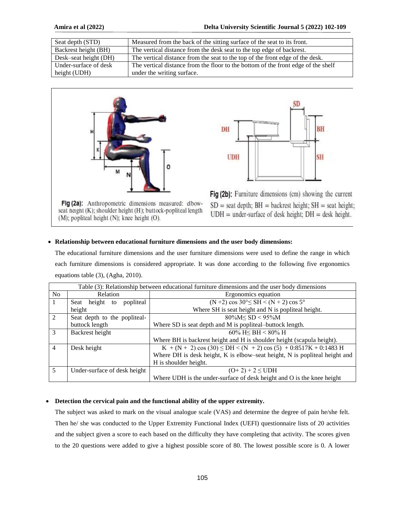| Seat depth (STD)      | Measured from the back of the sitting surface of the seat to its front.           |
|-----------------------|-----------------------------------------------------------------------------------|
| Backrest height (BH)  | The vertical distance from the desk seat to the top edge of backrest.             |
| Desk-seat height (DH) | The vertical distance from the seat to the top of the front edge of the desk.     |
| Under-surface of desk | The vertical distance from the floor to the bottom of the front edge of the shelf |
| height (UDH)          | under the writing surface.                                                        |



Fig (2a): Anthropometric dimensions measured: elbowseat height (K); shoulder height (H); buttock-popliteal length  $(M)$ ; popliteal height  $(N)$ ; knee height  $(O)$ .



Fig (2b): Furniture dimensions (cm) showing the current  $SD =$  seat depth;  $BH =$  backrest height;  $SH =$  seat height;  $UDH = under-surface of desk height$ ;  $DH = desk height$ .

#### **Relationship between educational furniture dimensions and the user body dimensions:**

The educational furniture dimensions and the user furniture dimensions were used to define the range in which each furniture dimensions is considered appropriate. It was done according to the following five ergonomics equations table (3), (Agha, 2010).

|                | Table (3): Relationship between educational furniture dimensions and the user body dimensions |                                                                            |  |  |
|----------------|-----------------------------------------------------------------------------------------------|----------------------------------------------------------------------------|--|--|
| N <sub>0</sub> | Relation                                                                                      | Ergonomics equation                                                        |  |  |
| 1              | height<br>popliteal<br>Seat<br>to                                                             | $(N+2) \cos 30^{\circ} \leq SH < (N+2) \cos 5^{\circ}$                     |  |  |
|                | height                                                                                        | Where SH is seat height and N is popliteal height.                         |  |  |
| $\mathfrak{D}$ | Seat depth to the popliteal-                                                                  | $80\%M \le SD < 95\%M$                                                     |  |  |
|                | buttock length                                                                                | Where SD is seat depth and M is popliteal-buttock length.                  |  |  |
| $\mathcal{R}$  | Backrest height                                                                               | 60% H< BH < 80% H                                                          |  |  |
|                |                                                                                               | Where BH is backrest height and H is shoulder height (scapula height).     |  |  |
| $\overline{4}$ | Desk height                                                                                   | $K + (N + 2) \cos (30) \le DH \le (N + 2) \cos (5) + 0.8517K + 0.1483 H$   |  |  |
|                |                                                                                               | Where DH is desk height, K is elbow-seat height, N is popliteal height and |  |  |
|                |                                                                                               | H is shoulder height.                                                      |  |  |
| 5              | Under-surface of desk height                                                                  | $(O+2) + 2 \leq UDH$                                                       |  |  |
|                |                                                                                               | Where UDH is the under-surface of desk height and O is the knee height     |  |  |

## **Detection the cervical pain and the functional ability of the upper extremity.**

The subject was asked to mark on the visual analogue scale (VAS) and determine the degree of pain he/she felt. Then he/ she was conducted to the Upper Extremity Functional Index (UEFI) questionnaire lists of 20 activities and the subject given a score to each based on the difficulty they have completing that activity. The scores given to the 20 questions were added to give a highest possible score of 80. The lowest possible score is 0. A lower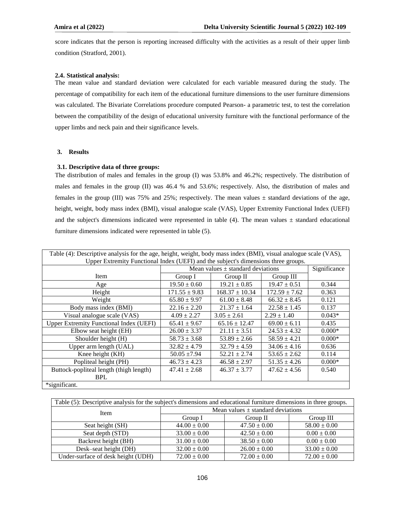score indicates that the person is reporting increased difficulty with the activities as a result of their upper limb condition (Stratford, 2001).

#### **2.4. Statistical analysis:**

The mean value and standard deviation were calculated for each variable measured during the study. The percentage of compatibility for each item of the educational furniture dimensions to the user furniture dimensions was calculated. The Bivariate Correlations procedure computed Pearson- a parametric test, to test the correlation between the compatibility of the design of educational university furniture with the functional performance of the upper limbs and neck pain and their significance levels.

#### **3. Results**

#### **3.1. Descriptive data of three groups:**

The distribution of males and females in the group (I) was 53.8% and 46.2%; respectively. The distribution of males and females in the group (II) was 46.4 % and 53.6%; respectively. Also, the distribution of males and females in the group (III) was 75% and 25%; respectively. The mean values  $\pm$  standard deviations of the age, height, weight, body mass index (BMI), visual analogue scale (VAS), Upper Extremity Functional Index (UEFI) and the subject's dimensions indicated were represented in table (4). The mean values  $\pm$  standard educational furniture dimensions indicated were represented in table (5).

| Table (4): Descriptive analysis for the age, height, weight, body mass index (BMI), visual analogue scale (VAS), |                   |                                                       |                   |          |  |
|------------------------------------------------------------------------------------------------------------------|-------------------|-------------------------------------------------------|-------------------|----------|--|
| Upper Extremity Functional Index (UEFI) and the subject's dimensions three groups.                               |                   |                                                       |                   |          |  |
|                                                                                                                  |                   | Mean values $\pm$ standard deviations<br>Significance |                   |          |  |
| Item                                                                                                             | Group I           | Group II                                              | Group III         |          |  |
| Age                                                                                                              | $19.50 \pm 0.60$  | $19.21 \pm 0.85$                                      | $19.47 \pm 0.51$  | 0.344    |  |
| Height                                                                                                           | $171.55 \pm 9.83$ | $168.37 \pm 10.34$                                    | $172.59 \pm 7.62$ | 0.363    |  |
| Weight                                                                                                           | $65.80 \pm 9.97$  | $61.00 \pm 8.48$                                      | $66.32 \pm 8.45$  | 0.121    |  |
| Body mass index (BMI)                                                                                            | $22.16 \pm 2.20$  | $21.37 \pm 1.64$                                      | $22.58 \pm 1.45$  | 0.137    |  |
| Visual analogue scale (VAS)                                                                                      | $4.09 \pm 2.27$   | $3.05 \pm 2.61$                                       | $2.29 \pm 1.40$   | $0.043*$ |  |
| <b>Upper Extremity Functional Index (UEFI)</b>                                                                   | $65.41 \pm 9.67$  | $65.16 \pm 12.47$                                     | $69.00 \pm 6.11$  | 0.435    |  |
| Elbow seat height (EH)                                                                                           | $26.00 \pm 3.37$  | $21.11 \pm 3.51$                                      | $24.53 \pm 4.32$  | $0.000*$ |  |
| Shoulder height (H)                                                                                              | $58.73 \pm 3.68$  | $53.89 \pm 2.66$                                      | $58.59 \pm 4.21$  | $0.000*$ |  |
| Upper arm length (UAL)                                                                                           | $32.82 \pm 4.79$  | $32.79 \pm 4.59$                                      | $34.06 \pm 4.16$  | 0.636    |  |
| Knee height (KH)                                                                                                 | $50.05 \pm 7.94$  | $52.21 \pm 2.74$                                      | $53.65 \pm 2.62$  | 0.114    |  |
| Popliteal height (PH)                                                                                            | $46.73 \pm 4.23$  | $46.58 \pm 2.97$                                      | $51.35 \pm 4.26$  | $0.000*$ |  |
| Buttock-popliteal length (thigh length)                                                                          | $47.41 \pm 2.68$  | $46.37 \pm 3.77$                                      | $47.62 \pm 4.56$  | 0.540    |  |
| <b>BPL</b>                                                                                                       |                   |                                                       |                   |          |  |
| *significant.                                                                                                    |                   |                                                       |                   |          |  |

| Table (5): Descriptive analysis for the subject's dimensions and educational furniture dimensions in three groups. |                                       |                  |                  |  |  |
|--------------------------------------------------------------------------------------------------------------------|---------------------------------------|------------------|------------------|--|--|
| <b>Item</b>                                                                                                        | Mean values $\pm$ standard deviations |                  |                  |  |  |
|                                                                                                                    | Group I                               | Group II         | Group III        |  |  |
| Seat height (SH)                                                                                                   | $44.00 \pm 0.00$                      | $47.50 \pm 0.00$ | $58.00 \pm 0.00$ |  |  |
| Seat depth (STD)                                                                                                   | $33.00 \pm 0.00$                      | $42.50 \pm 0.00$ | $0.00 \pm 0.00$  |  |  |
| Backrest height (BH)                                                                                               | $31.00 \pm 0.00$                      | $38.50 \pm 0.00$ | $0.00 \pm 0.00$  |  |  |
| Desk-seat height (DH)                                                                                              | $32.00 \pm 0.00$                      | $26.00 \pm 0.00$ | $33.00 \pm 0.00$ |  |  |
| Under-surface of desk height (UDH)                                                                                 | $72.00 \pm 0.00$                      | $72.00 \pm 0.00$ | $72.00 \pm 0.00$ |  |  |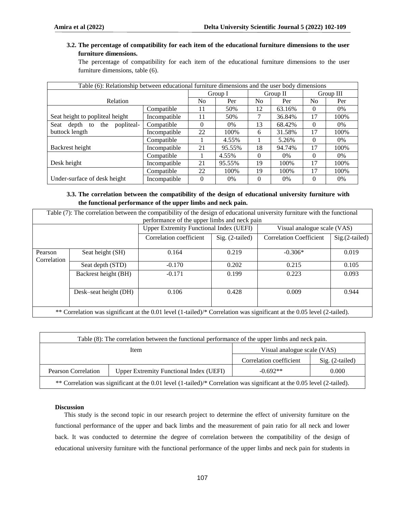# **3.2. The percentage of compatibility for each item of the educational furniture dimensions to the user furniture dimensions.**

The percentage of compatibility for each item of the educational furniture dimensions to the user furniture dimensions, table (6).

| Table (6): Relationship between educational furniture dimensions and the user body dimensions |              |          |        |                |        |           |       |
|-----------------------------------------------------------------------------------------------|--------------|----------|--------|----------------|--------|-----------|-------|
|                                                                                               |              | Group I  |        | Group II       |        | Group III |       |
| Relation                                                                                      |              | No       | Per    | N <sub>0</sub> | Per    | No        | Per   |
|                                                                                               | Compatible   | 11       | 50%    | 12             | 63.16% | 0         | $0\%$ |
| Seat height to popliteal height                                                               | Incompatible | 11       | 50%    |                | 36.84% | 17        | 100%  |
| popliteal-<br>Seat<br>depth to<br>the                                                         | Compatible   | $\Omega$ | $0\%$  | 13             | 68.42% | $\Omega$  | $0\%$ |
| buttock length                                                                                | Incompatible | 22       | 100\%  | 6              | 31.58% | 17        | 100%  |
|                                                                                               | Compatible   |          | 4.55%  |                | 5.26%  | $\Omega$  | 0%    |
| Backrest height                                                                               | Incompatible | 21       | 95.55% | 18             | 94.74% | 17        | 100%  |
|                                                                                               | Compatible   |          | 4.55%  | $\Omega$       | $0\%$  | $\Omega$  | $0\%$ |
| Desk height                                                                                   | Incompatible | 21       | 95.55% | 19             | 100%   | 17        | 100%  |
|                                                                                               | Compatible   | 22       | 100\%  | 19             | 100%   | 17        | 100\% |
| Under-surface of desk height                                                                  | Incompatible | $\Omega$ | $0\%$  | $\theta$       | $0\%$  | $\theta$  | $0\%$ |

# **3.3. The correlation between the compatibility of the design of educational university furniture with the functional performance of the upper limbs and neck pain.**

| Table (7): The correlation between the compatibility of the design of educational university furniture with the functional |                                              |                                            |                                                |                                |                             |  |
|----------------------------------------------------------------------------------------------------------------------------|----------------------------------------------|--------------------------------------------|------------------------------------------------|--------------------------------|-----------------------------|--|
|                                                                                                                            | performance of the upper limbs and neck pain |                                            |                                                |                                |                             |  |
|                                                                                                                            |                                              |                                            | <b>Upper Extremity Functional Index (UEFI)</b> |                                | Visual analogue scale (VAS) |  |
|                                                                                                                            |                                              | Correlation coefficient<br>Sig. (2-tailed) |                                                | <b>Correlation Coefficient</b> | $Sig.(2-tailed)$            |  |
|                                                                                                                            |                                              |                                            |                                                |                                |                             |  |
| Pearson                                                                                                                    | Seat height (SH)                             | 0.164                                      | 0.219                                          | $-0.306*$                      | 0.019                       |  |
| Correlation                                                                                                                |                                              |                                            |                                                |                                |                             |  |
|                                                                                                                            | Seat depth (STD)                             | $-0.170$                                   | 0.202                                          | 0.215                          | 0.105                       |  |
|                                                                                                                            | Backrest height (BH)                         | $-0.171$                                   | 0.199                                          | 0.223                          | 0.093                       |  |
|                                                                                                                            |                                              |                                            |                                                |                                |                             |  |
|                                                                                                                            | Desk-seat height (DH)                        | 0.106                                      | 0.428                                          | 0.009                          | 0.944                       |  |
|                                                                                                                            |                                              |                                            |                                                |                                |                             |  |

\*\* Correlation was significant at the 0.01 level (1-tailed)/\* Correlation was significant at the 0.05 level (2-tailed).

| Table (8): The correlation between the functional performance of the upper limbs and neck pain.                         |                                                |                             |                   |  |
|-------------------------------------------------------------------------------------------------------------------------|------------------------------------------------|-----------------------------|-------------------|--|
|                                                                                                                         | Item                                           | Visual analogue scale (VAS) |                   |  |
|                                                                                                                         |                                                | Correlation coefficient     | $Sig. (2-tailed)$ |  |
| <b>Pearson Correlation</b>                                                                                              | <b>Upper Extremity Functional Index (UEFI)</b> | $-0.692**$                  | 0.000             |  |
| ** Correlation was significant at the 0.01 level (1-tailed)/* Correlation was significant at the 0.05 level (2-tailed). |                                                |                             |                   |  |

#### **Discussion**

This study is the second topic in our research project to determine the effect of university furniture on the functional performance of the upper and back limbs and the measurement of pain ratio for all neck and lower back. It was conducted to determine the degree of correlation between the compatibility of the design of educational university furniture with the functional performance of the upper limbs and neck pain for students in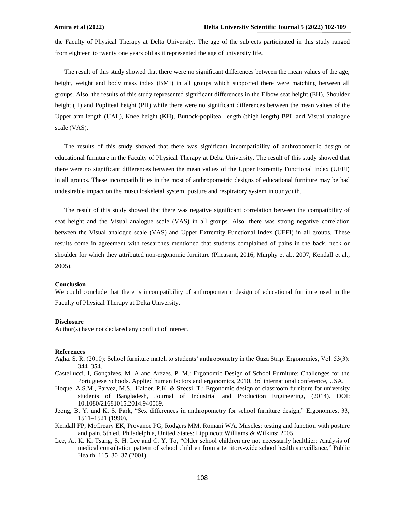the Faculty of Physical Therapy at Delta University. The age of the subjects participated in this study ranged from eighteen to twenty one years old as it represented the age of university life.

The result of this study showed that there were no significant differences between the mean values of the age, height, weight and body mass index (BMI) in all groups which supported there were matching between all groups. Also, the results of this study represented significant differences in the Elbow seat height (EH), Shoulder height (H) and Popliteal height (PH) while there were no significant differences between the mean values of the Upper arm length (UAL), Knee height (KH), Buttock-popliteal length (thigh length) BPL and Visual analogue scale (VAS).

The results of this study showed that there was significant incompatibility of anthropometric design of educational furniture in the Faculty of Physical Therapy at Delta University. The result of this study showed that there were no significant differences between the mean values of the Upper Extremity Functional Index (UEFI) in all groups. These incompatibilities in the most of anthropometric designs of educational furniture may be had undesirable impact on the musculoskeletal system, posture and respiratory system in our youth.

The result of this study showed that there was negative significant correlation between the compatibility of seat height and the Visual analogue scale (VAS) in all groups. Also, there was strong negative correlation between the Visual analogue scale (VAS) and Upper Extremity Functional Index (UEFI) in all groups. These results come in agreement with researches mentioned that students complained of pains in the back, neck or shoulder for which they attributed non-ergonomic furniture (Pheasant, 2016, Murphy et al., 2007, Kendall et al., 2005).

#### **Conclusion**

We could conclude that there is incompatibility of anthropometric design of educational furniture used in the Faculty of Physical Therapy at Delta University.

#### **Disclosure**

Author(s) have not declared any conflict of interest.

#### **References**

- Agha. S. R. (2010): School furniture match to students' anthropometry in the Gaza Strip. Ergonomics, Vol. 53(3): 344–354.
- Castellucci. I, Gonçalves. M. A and Arezes. P. M.: Ergonomic Design of School Furniture: Challenges for the Portuguese Schools. Applied human factors and ergonomics, 2010, 3rd international conference, USA.
- Hoque. A.S.M., Parvez, M.S. Halder. P.K. & Szecsi. T.: Ergonomic design of classroom furniture for university students of Bangladesh, Journal of Industrial and Production Engineering, (2014). DOI: 10.1080/21681015.2014.940069.
- Jeong, B. Y. and K. S. Park, "Sex differences in anthropometry for school furniture design," Ergonomics, 33, 1511–1521 (1990).
- Kendall FP, McCreary EK, Provance PG, Rodgers MM, Romani WA. Muscles: testing and function with posture and pain. 5th ed. Philadelphia, United States: Lippincott Williams & Wilkins; 2005.
- Lee, A., K. K. Tsang, S. H. Lee and C. Y. To, "Older school children are not necessarily healthier: Analysis of medical consultation pattern of school children from a territory-wide school health surveillance," Public Health, 115, 30–37 (2001).